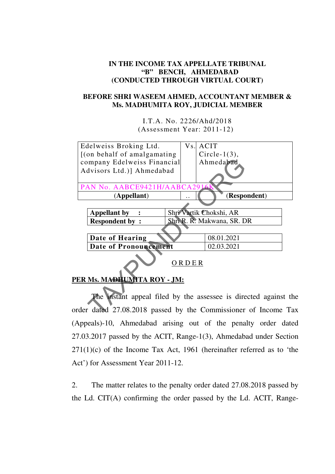## **IN THE INCOME TAX APPELLATE TRIBUNAL "B" BENCH, AHMEDABAD (CONDUCTED THROUGH VIRTUAL COURT)**

## **BEFORE SHRI WASEEM AHMED, ACCOUNTANT MEMBER & Ms. MADHUMITA ROY, JUDICIAL MEMBER**

I.T.A. No. 2226/Ahd/2018 (Assessment Year: 2011-12)



## **PER Ms. MADHUMITA ROY - JM:**

 The instant appeal filed by the assessee is directed against the order dated 27.08.2018 passed by the Commissioner of Income Tax (Appeals)-10, Ahmedabad arising out of the penalty order dated 27.03.2017 passed by the ACIT, Range-1(3), Ahmedabad under Section  $271(1)(c)$  of the Income Tax Act, 1961 (hereinafter referred as to 'the Act') for Assessment Year 2011-12.

2. The matter relates to the penalty order dated 27.08.2018 passed by the Ld. CIT(A) confirming the order passed by the Ld. ACIT, Range-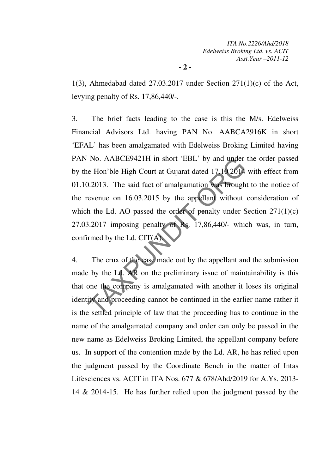1(3), Ahmedabad dated  $27.03.2017$  under Section  $271(1)(c)$  of the Act, levying penalty of Rs. 17,86,440/-.

3. The brief facts leading to the case is this the M/s. Edelweiss Financial Advisors Ltd. having PAN No. AABCA2916K in short 'EFAL' has been amalgamated with Edelweiss Broking Limited having PAN No. AABCE9421H in short 'EBL' by and under the order passed by the Hon'ble High Court at Gujarat dated 17.10 2014 with effect from 01.10.2013. The said fact of amalgamation was brought to the notice of the revenue on 16.03.2015 by the appellant without consideration of which the Ld. AO passed the order of penalty under Section  $271(1)(c)$ 27.03.2017 imposing penalty of Rs. 17,86,440/- which was, in turn, confirmed by the Ld. CIT(A). No. AABCE9421H in short EBL by and under<br>e Hon'ble High Court at Gujarat dated 17.10.2014<br>0.2013. The said fact of amalgamation was brough<br>evenue on 16.03.2015 by the appellant without<br>the Ld. AO passed the order of penal

4. The crux of the case made out by the appellant and the submission made by the Ld. AR on the preliminary issue of maintainability is this that one the company is amalgamated with another it loses its original identity and proceeding cannot be continued in the earlier name rather it is the settled principle of law that the proceeding has to continue in the name of the amalgamated company and order can only be passed in the new name as Edelweiss Broking Limited, the appellant company before us. In support of the contention made by the Ld. AR, he has relied upon the judgment passed by the Coordinate Bench in the matter of Intas Lifesciences vs. ACIT in ITA Nos. 677 & 678/Ahd/2019 for A.Ys. 2013- 14 & 2014-15. He has further relied upon the judgment passed by the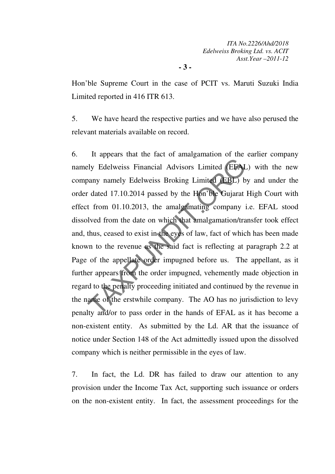Hon'ble Supreme Court in the case of PCIT vs. Maruti Suzuki India Limited reported in 416 ITR 613.

**- 3 -** 

5. We have heard the respective parties and we have also perused the relevant materials available on record.

6. It appears that the fact of amalgamation of the earlier company namely Edelweiss Financial Advisors Limited (EFAL) with the new company namely Edelweiss Broking Limited (EBL) by and under the order dated 17.10.2014 passed by the Hon'ble Gujarat High Court with effect from 01.10.2013, the amalgamating company i.e. EFAL stood dissolved from the date on which that amalgamation/transfer took effect and, thus, ceased to exist in the eyes of law, fact of which has been made known to the revenue as the said fact is reflecting at paragraph 2.2 at Page of the appellate order impugned before us. The appellant, as it further appears from the order impugned, vehemently made objection in regard to the penalty proceeding initiated and continued by the revenue in the name of the erstwhile company. The AO has no jurisdiction to levy penalty and/or to pass order in the hands of EFAL as it has become a non-existent entity. As submitted by the Ld. AR that the issuance of notice under Section 148 of the Act admittedly issued upon the dissolved company which is neither permissible in the eyes of law. Example 11 Edelweiss Financial Advisors Limited (EFA)<br>
2013) no any namely Edelweiss Broking Limited (EBL) b<br>
1 dated 17.10.2014 passed by the Hon ble Gujarat<br>
1 from 01.10.2013, the amalgamating company is<br>
1 lved from th

7. In fact, the Ld. DR has failed to draw our attention to any provision under the Income Tax Act, supporting such issuance or orders on the non-existent entity. In fact, the assessment proceedings for the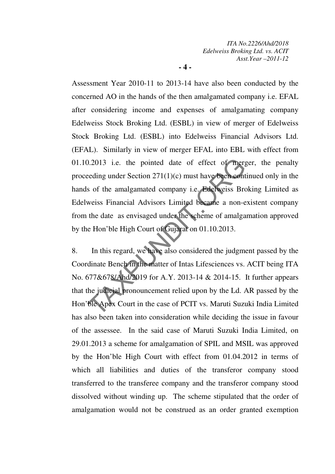**- 4 -** 

Assessment Year 2010-11 to 2013-14 have also been conducted by the concerned AO in the hands of the then amalgamated company i.e. EFAL after considering income and expenses of amalgamating company Edelweiss Stock Broking Ltd. (ESBL) in view of merger of Edelweiss Stock Broking Ltd. (ESBL) into Edelweiss Financial Advisors Ltd. (EFAL). Similarly in view of merger EFAL into EBL with effect from 01.10.2013 i.e. the pointed date of effect of merger, the penalty proceeding under Section 271(1)(c) must have been continued only in the hands of the amalgamated company i.e. Edelweiss Broking Limited as Edelweiss Financial Advisors Limited became a non-existent company from the date as envisaged under the scheme of amalgamation approved by the Hon'ble High Court of Gujarat on 01.10.2013. 0.2013 i.e. the pointed date of effect of mergeding under Section 271(1)(c) must have been contrary is of the amalgamated company i.e. Edelweiss Broweiss Financial Advisors Limited became a non-eleadure as envisaged under

8. In this regard, we have also considered the judgment passed by the Coordinate Bench in the matter of Intas Lifesciences vs. ACIT being ITA No. 677&678/Ahd/2019 for A.Y. 2013-14 & 2014-15. It further appears that the judicial pronouncement relied upon by the Ld. AR passed by the Hon'ble Apex Court in the case of PCIT vs. Maruti Suzuki India Limited has also been taken into consideration while deciding the issue in favour of the assessee. In the said case of Maruti Suzuki India Limited, on 29.01.2013 a scheme for amalgamation of SPIL and MSIL was approved by the Hon'ble High Court with effect from 01.04.2012 in terms of which all liabilities and duties of the transferor company stood transferred to the transferee company and the transferor company stood dissolved without winding up. The scheme stipulated that the order of amalgamation would not be construed as an order granted exemption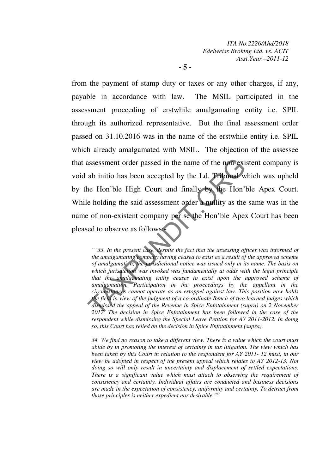*ITA No.2226/Ahd/2018 Edelweiss Broking Ltd. vs. ACIT Asst.Year –2011-12*

**- 5 -** 

from the payment of stamp duty or taxes or any other charges, if any, payable in accordance with law. The MSIL participated in the assessment proceeding of erstwhile amalgamating entity i.e. SPIL through its authorized representative. But the final assessment order passed on 31.10.2016 was in the name of the erstwhile entity i.e. SPIL which already amalgamated with MSIL. The objection of the assessee that assessment order passed in the name of the non-existent company is void ab initio has been accepted by the Ld. Tribunal which was upheld by the Hon'ble High Court and finally by the Hon'ble Apex Court. While holding the said assessment order a nullity as the same was in the name of non-existent company per se the Hon'ble Apex Court has been pleased to observe as follows: assessment order passed in the name of the non-exi<br>ab initio has been accepted by the Ld. Tribunal w<br>ne Hon'ble High Court and finally by the Hon'l<br>e holding the said assessment order a nullity as the<br>e of non-existent co

*""33. In the present case, despite the fact that the assessing officer was informed of the amalgamating company having ceased to exist as a result of the approved scheme of amalgamati n, the jurisdictional notice was issued only in its name. The basis on which jurisdiction was invoked was fundamentally at odds with the legal principle that the amalgamating entity ceases to exist upon the approved scheme of amalgamation. Participation in the proceedings by the appellant in the circumstances cannot operate as an estoppel against law. This position now holds the field in view of the judgment of a co-ordinate Bench of two learned judges which dismissed the appeal of the Revenue in Spice Enfotainment (supra) on 2 November 2017. The decision in Spice Enfotainment has been followed in the case of the respondent while dismissing the Special Leave Petition for AY 2011-2012. In doing so, this Court has relied on the decision in Spice Enfotainment (supra).* 

*34. We find no reason to take a different view. There is a value which the court must abide by in promoting the interest of certainty in tax litigation. The view which has been taken by this Court in relation to the respondent for AY 2011- 12 must, in our view be adopted in respect of the present appeal which relates to AY 2012-13. Not doing so will only result in uncertainty and displacement of settled expectations. There is a significant value which must attach to observing the requirement of consistency and certainty. Individual affairs are conducted and business decisions are made in the expectation of consistency, uniformity and certainty. To detract from those principles is neither expedient nor desirable.""*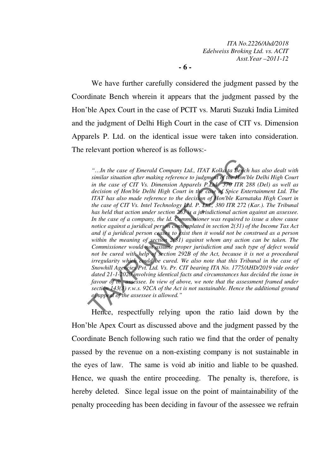*ITA No.2226/Ahd/2018 Edelweiss Broking Ltd. vs. ACIT Asst.Year –2011-12*

**- 6 -** 

 We have further carefully considered the judgment passed by the Coordinate Bench wherein it appears that the judgment passed by the Hon'ble Apex Court in the case of PCIT vs. Maruti Suzuki India Limited and the judgment of Delhi High Court in the case of CIT vs. Dimension Apparels P. Ltd. on the identical issue were taken into consideration. The relevant portion whereof is as follows:-

*"…In the case of Emerald Company Ltd., ITAT Kolka ta Bench has also dealt with similar situation after making reference to judgment of the Hon'ble Delhi High Court in the case of CIT Vs. Dimension Apparels P.Ltd 370 ITR 288 (Del) as well as*  decision of Hon'ble Delhi High Court in the case of Spice Entertainment Ltd. The *ITAT has also made reference to the decision of Hon'ble Karnataka High Court in the case of CIT Vs. Intel Technology Ltd. P. Ltd., 380 ITR 272 (Kar.). The Tribunal has held that action under section 263 is a jurisdictional action against an assessee. In the case of a company, the ld. Commissioner was required to issue a show cause notice against a juridical person contemplated in section 2(31) of the Income Tax Act and if a juridical person ceases to exist then it would not be construed as a person within the meaning of section 2(31) against whom any action can be taken. The Commissioner would not assume proper jurisdiction and such type of defect would*  not be cured with help of section 292B of the Act, because it is not a procedural *irregularity which could be cured. We also note that this Tribunal in the case of Snowhill Agencies Pvt. Ltd. Vs. Pr. CIT bearing ITA No. 1775/AHD/2019 vide order dated 21-1-2020 involving identical facts and circumstances has decided the issue in favour of th assessee. In view of above, we note that the assessment framed under section 143(3) r.w.s. 92CA of the Act is not sustainable. Hence the additional ground of appeal of the assessee is allowed."*  "...In the case of Emerald Company Ltd., ITAT Kolka ta Berc<br>similar situation after making reference to judgment of the Hon<br>in the case of CIT Vs. Dimension Apparels P.Ltd 570 ITR.<br>decision of Hon ble Delhi High Court in

 Hence, respectfully relying upon the ratio laid down by the Hon'ble Apex Court as discussed above and the judgment passed by the Coordinate Bench following such ratio we find that the order of penalty passed by the revenue on a non-existing company is not sustainable in the eyes of law. The same is void ab initio and liable to be quashed. Hence, we quash the entire proceeding. The penalty is, therefore, is hereby deleted. Since legal issue on the point of maintainability of the penalty proceeding has been deciding in favour of the assessee we refrain